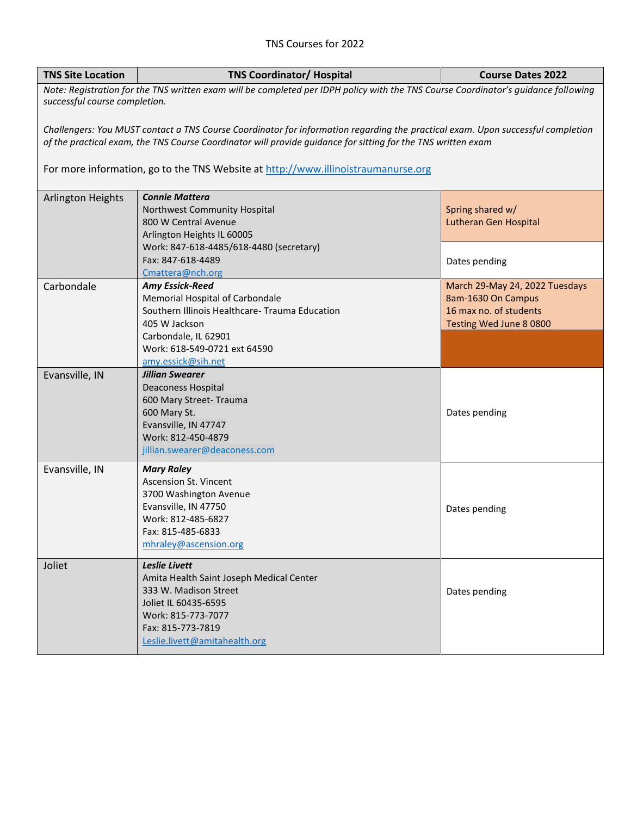## TNS Courses for 2022

| <b>TNS Site Location</b>                                                                                                                                                                                                                        | <b>TNS Coordinator/ Hospital</b>                                | <b>Course Dates 2022</b>       |  |  |
|-------------------------------------------------------------------------------------------------------------------------------------------------------------------------------------------------------------------------------------------------|-----------------------------------------------------------------|--------------------------------|--|--|
| Note: Registration for the TNS written exam will be completed per IDPH policy with the TNS Course Coordinator's guidance following<br>successful course completion.                                                                             |                                                                 |                                |  |  |
| Challengers: You MUST contact a TNS Course Coordinator for information regarding the practical exam. Upon successful completion<br>of the practical exam, the TNS Course Coordinator will provide quidance for sitting for the TNS written exam |                                                                 |                                |  |  |
| For more information, go to the TNS Website at http://www.illinoistraumanurse.org                                                                                                                                                               |                                                                 |                                |  |  |
| <b>Arlington Heights</b>                                                                                                                                                                                                                        | <b>Connie Mattera</b>                                           |                                |  |  |
|                                                                                                                                                                                                                                                 | Northwest Community Hospital                                    | Spring shared w/               |  |  |
|                                                                                                                                                                                                                                                 | 800 W Central Avenue<br>Arlington Heights IL 60005              | Lutheran Gen Hospital          |  |  |
|                                                                                                                                                                                                                                                 | Work: 847-618-4485/618-4480 (secretary)                         |                                |  |  |
|                                                                                                                                                                                                                                                 | Fax: 847-618-4489                                               | Dates pending                  |  |  |
|                                                                                                                                                                                                                                                 | Cmattera@nch.org                                                |                                |  |  |
| Carbondale                                                                                                                                                                                                                                      | <b>Amy Essick-Reed</b>                                          | March 29-May 24, 2022 Tuesdays |  |  |
|                                                                                                                                                                                                                                                 | Memorial Hospital of Carbondale                                 | 8am-1630 On Campus             |  |  |
|                                                                                                                                                                                                                                                 | Southern Illinois Healthcare- Trauma Education<br>405 W Jackson | 16 max no. of students         |  |  |
|                                                                                                                                                                                                                                                 | Carbondale, IL 62901                                            | Testing Wed June 8 0800        |  |  |
|                                                                                                                                                                                                                                                 | Work: 618-549-0721 ext 64590                                    |                                |  |  |
|                                                                                                                                                                                                                                                 | amy.essick@sih.net                                              |                                |  |  |
| Evansville, IN                                                                                                                                                                                                                                  | Jillian Swearer                                                 |                                |  |  |
|                                                                                                                                                                                                                                                 | <b>Deaconess Hospital</b>                                       |                                |  |  |
|                                                                                                                                                                                                                                                 | 600 Mary Street- Trauma                                         |                                |  |  |
|                                                                                                                                                                                                                                                 | 600 Mary St.                                                    | Dates pending                  |  |  |
|                                                                                                                                                                                                                                                 | Evansville, IN 47747<br>Work: 812-450-4879                      |                                |  |  |
|                                                                                                                                                                                                                                                 | jillian.swearer@deaconess.com                                   |                                |  |  |
|                                                                                                                                                                                                                                                 |                                                                 |                                |  |  |
| Evansville, IN                                                                                                                                                                                                                                  | <b>Mary Raley</b><br>Ascension St. Vincent                      |                                |  |  |
|                                                                                                                                                                                                                                                 | 3700 Washington Avenue                                          |                                |  |  |
|                                                                                                                                                                                                                                                 | Evansville, IN 47750                                            | Dates pending                  |  |  |
|                                                                                                                                                                                                                                                 | Work: 812-485-6827                                              |                                |  |  |
|                                                                                                                                                                                                                                                 | Fax: 815-485-6833                                               |                                |  |  |
|                                                                                                                                                                                                                                                 | mhraley@ascension.org                                           |                                |  |  |
| Joliet                                                                                                                                                                                                                                          | Leslie Livett                                                   |                                |  |  |
|                                                                                                                                                                                                                                                 | Amita Health Saint Joseph Medical Center                        |                                |  |  |
|                                                                                                                                                                                                                                                 | 333 W. Madison Street                                           | Dates pending                  |  |  |
|                                                                                                                                                                                                                                                 | Joliet IL 60435-6595                                            |                                |  |  |
|                                                                                                                                                                                                                                                 | Work: 815-773-7077                                              |                                |  |  |
|                                                                                                                                                                                                                                                 | Fax: 815-773-7819<br>Leslie.livett@amitahealth.org              |                                |  |  |
|                                                                                                                                                                                                                                                 |                                                                 |                                |  |  |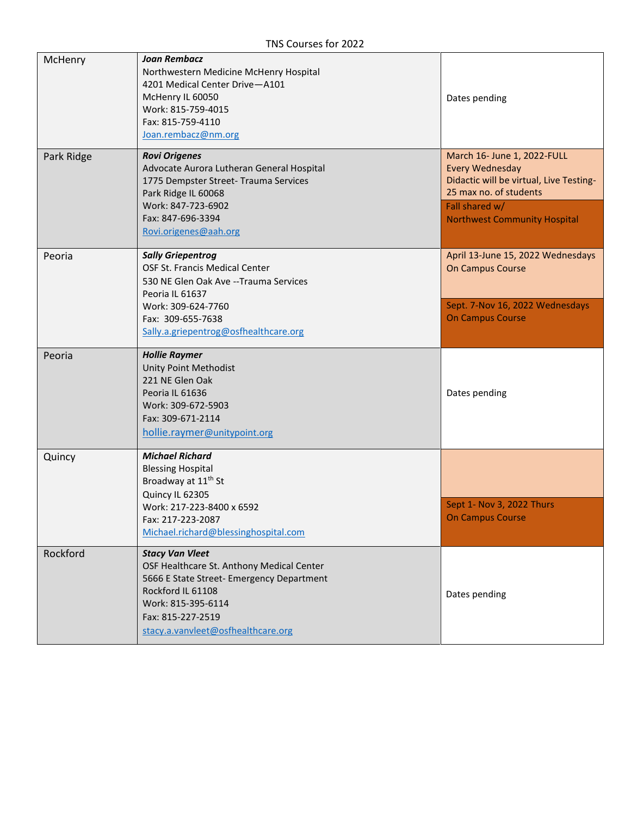| McHenry    | <b>Joan Rembacz</b><br>Northwestern Medicine McHenry Hospital<br>4201 Medical Center Drive-A101<br>McHenry IL 60050<br>Work: 815-759-4015<br>Fax: 815-759-4110<br>Joan.rembacz@nm.org                                  | Dates pending                                                                                                                                                                       |
|------------|------------------------------------------------------------------------------------------------------------------------------------------------------------------------------------------------------------------------|-------------------------------------------------------------------------------------------------------------------------------------------------------------------------------------|
| Park Ridge | <b>Rovi Origenes</b><br>Advocate Aurora Lutheran General Hospital<br>1775 Dempster Street- Trauma Services<br>Park Ridge IL 60068<br>Work: 847-723-6902<br>Fax: 847-696-3394<br>Rovi.origenes@aah.org                  | March 16- June 1, 2022-FULL<br><b>Every Wednesday</b><br>Didactic will be virtual, Live Testing-<br>25 max no. of students<br>Fall shared w/<br><b>Northwest Community Hospital</b> |
| Peoria     | <b>Sally Griepentrog</b><br>OSF St. Francis Medical Center<br>530 NE Glen Oak Ave -- Trauma Services<br>Peoria IL 61637<br>Work: 309-624-7760                                                                          | April 13-June 15, 2022 Wednesdays<br>On Campus Course<br>Sept. 7-Nov 16, 2022 Wednesdays<br><b>On Campus Course</b>                                                                 |
|            | Fax: 309-655-7638<br>Sally.a.griepentrog@osfhealthcare.org                                                                                                                                                             |                                                                                                                                                                                     |
| Peoria     | <b>Hollie Raymer</b><br><b>Unity Point Methodist</b><br>221 NE Glen Oak<br>Peoria IL 61636<br>Work: 309-672-5903<br>Fax: 309-671-2114<br>hollie.raymer@unitypoint.org                                                  | Dates pending                                                                                                                                                                       |
| Quincy     | <b>Michael Richard</b><br><b>Blessing Hospital</b><br>Broadway at 11 <sup>th</sup> St<br>Quincy IL 62305                                                                                                               |                                                                                                                                                                                     |
|            | Work: 217-223-8400 x 6592<br>Fax: 217-223-2087<br>Michael.richard@blessinghospital.com                                                                                                                                 | Sept 1- Nov 3, 2022 Thurs<br><b>On Campus Course</b>                                                                                                                                |
| Rockford   | <b>Stacy Van Vleet</b><br>OSF Healthcare St. Anthony Medical Center<br>5666 E State Street- Emergency Department<br>Rockford IL 61108<br>Work: 815-395-6114<br>Fax: 815-227-2519<br>stacy.a.vanvleet@osfhealthcare.org | Dates pending                                                                                                                                                                       |